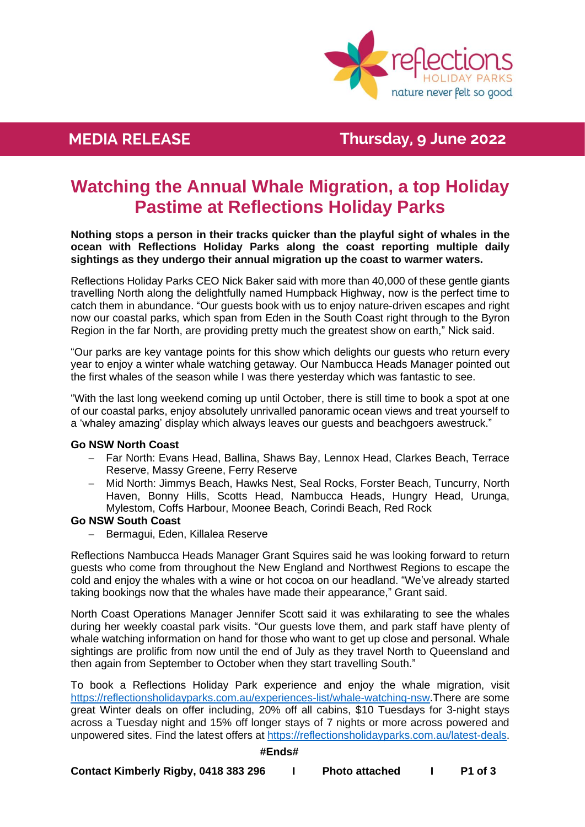

## **MEDIA Killalea Reserve News RELEASE Thursday, 9 June 2022**

# **Watching the Annual Whale Migration, a top Holiday Pastime at Reflections Holiday Parks**

**Nothing stops a person in their tracks quicker than the playful sight of whales in the ocean with Reflections Holiday Parks along the coast reporting multiple daily sightings as they undergo their annual migration up the coast to warmer waters.**

Reflections Holiday Parks CEO Nick Baker said with more than 40,000 of these gentle giants travelling North along the delightfully named Humpback Highway, now is the perfect time to catch them in abundance. "Our guests book with us to enjoy nature-driven escapes and right now our coastal parks, which span from Eden in the South Coast right through to the Byron Region in the far North, are providing pretty much the greatest show on earth," Nick said.

"Our parks are key vantage points for this show which delights our guests who return every year to enjoy a winter whale watching getaway. Our Nambucca Heads Manager pointed out the first whales of the season while I was there yesterday which was fantastic to see.

"With the last long weekend coming up until October, there is still time to book a spot at one of our coastal parks, enjoy absolutely unrivalled panoramic ocean views and treat yourself to a 'whaley amazing' display which always leaves our guests and beachgoers awestruck."

### **Go NSW North Coast**

- − Far North: Evans Head, Ballina, Shaws Bay, Lennox Head, Clarkes Beach, Terrace Reserve, Massy Greene, Ferry Reserve
- − Mid North: Jimmys Beach, Hawks Nest, Seal Rocks, Forster Beach, Tuncurry, North Haven, Bonny Hills, Scotts Head, Nambucca Heads, Hungry Head, Urunga, Mylestom, Coffs Harbour, Moonee Beach, Corindi Beach, Red Rock

### **Go NSW South Coast**

− Bermagui, Eden, Killalea Reserve

Reflections Nambucca Heads Manager Grant Squires said he was looking forward to return guests who come from throughout the New England and Northwest Regions to escape the cold and enjoy the whales with a wine or hot cocoa on our headland. "We've already started taking bookings now that the whales have made their appearance," Grant said.

North Coast Operations Manager Jennifer Scott said it was exhilarating to see the whales during her weekly coastal park visits. "Our guests love them, and park staff have plenty of whale watching information on hand for those who want to get up close and personal. Whale sightings are prolific from now until the end of July as they travel North to Queensland and then again from September to October when they start travelling South."

To book a Reflections Holiday Park experience and enjoy the whale migration, visit [https://reflectionsholidayparks.com.au/experiences-list/whale-watching-nsw.](https://reflectionsholidayparks.com.au/experiences-list/whale-watching-nsw)There are some great Winter deals on offer including, 20% off all cabins, \$10 Tuesdays for 3-night stays across a Tuesday night and 15% off longer stays of 7 nights or more across powered and unpowered sites. Find the latest offers at [https://reflectionsholidayparks.com.au/latest-deals.](https://reflectionsholidayparks.com.au/latest-deals)

### **#Ends#**

**Contact Kimberly Rigby, 0418 383 296 I Photo attached I P1 of 3**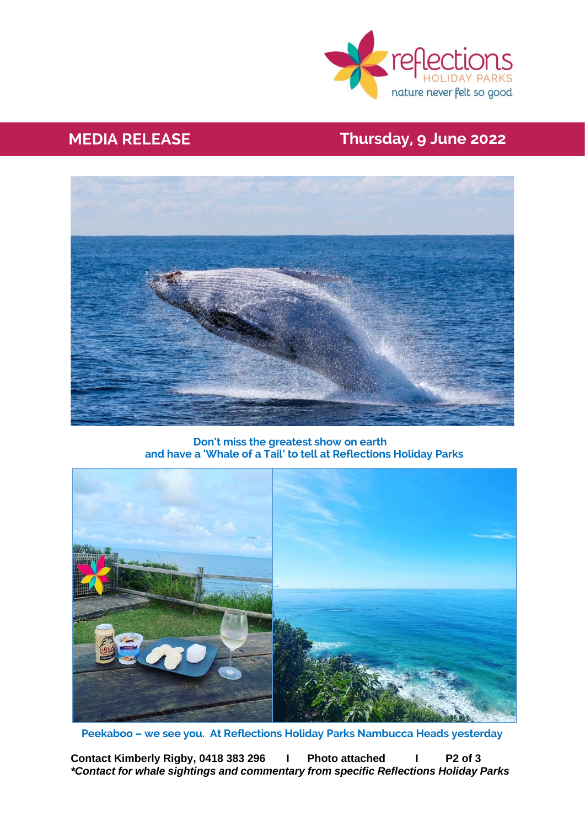

# **MEDIA Killalea Reserve News RELEASE Thursday, 9 June 2022**



**Don't miss the greatest show on earth and have a 'Whale of a Tail' to tell at Reflections Holiday Parks**



 **Peekaboo – we see you. At Reflections Holiday Parks Nambucca Heads yesterday**

**Contact Kimberly Rigby, 0418 383 296 I Photo attached I P2 of 3** *\*Contact for whale sightings and commentary from specific Reflections Holiday Parks*